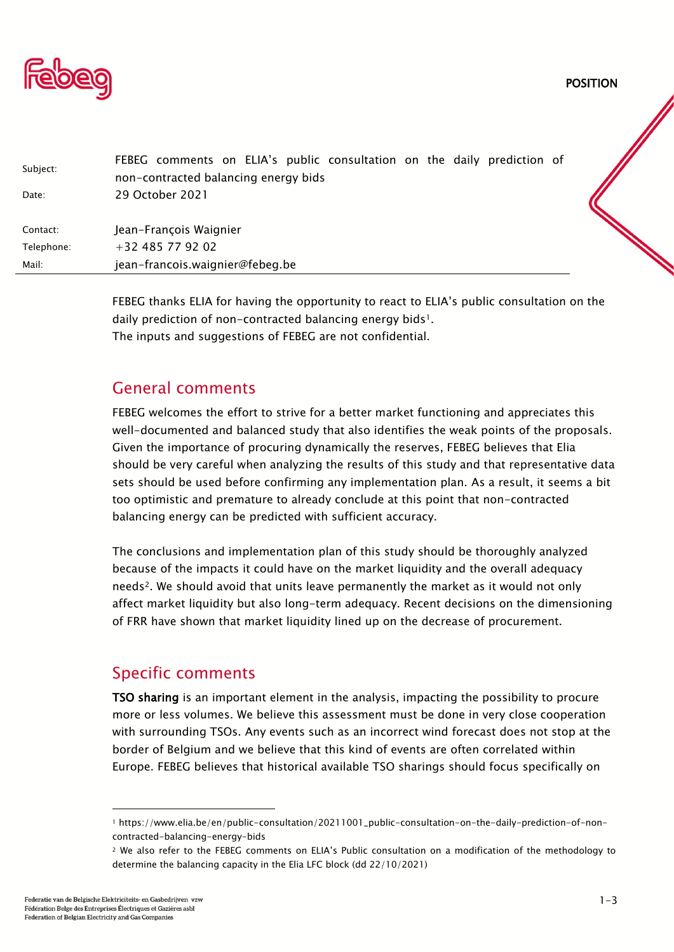

POSITION

| Subject:   | FEBEG comments on ELIA's public consultation on the daily prediction of<br>non-contracted balancing energy bids |  |
|------------|-----------------------------------------------------------------------------------------------------------------|--|
| Date:      | 29 October 2021                                                                                                 |  |
| Contact:   | Jean-François Waignier                                                                                          |  |
| Telephone: | $+32485779202$                                                                                                  |  |
| Mail:      | jean-francois.waignier@febeg.be                                                                                 |  |
|            |                                                                                                                 |  |

FEBEG thanks ELIA for having the opportunity to react to ELIA's public consultation on the daily prediction of non-contracted balancing energy bids<sup>1</sup>. The inputs and suggestions of FEBEG are not confidential.

## General comments

FEBEG welcomes the effort to strive for a better market functioning and appreciates this well-documented and balanced study that also identifies the weak points of the proposals. Given the importance of procuring dynamically the reserves, FEBEG believes that Elia should be very careful when analyzing the results of this study and that representative data sets should be used before confirming any implementation plan. As a result, it seems a bit too optimistic and premature to already conclude at this point that non-contracted balancing energy can be predicted with sufficient accuracy.

The conclusions and implementation plan of this study should be thoroughly analyzed because of the impacts it could have on the market liquidity and the overall adequacy needs<sup>2</sup>. We should avoid that units leave permanently the market as it would not only affect market liquidity but also long-term adequacy. Recent decisions on the dimensioning of FRR have shown that market liquidity lined up on the decrease of procurement.

# Specific comments

TSO sharing is an important element in the analysis, impacting the possibility to procure more or less volumes. We believe this assessment must be done in very close cooperation with surrounding TSOs. Any events such as an incorrect wind forecast does not stop at the border of Belgium and we believe that this kind of events are often correlated within Europe. FEBEG believes that historical available TSO sharings should focus specifically on

<sup>1</sup> https://www.elia.be/en/public-consultation/20211001\_public-consultation-on-the-daily-prediction-of-noncontracted-balancing-energy-bids

<sup>2</sup> We also refer to the FEBEG comments on ELIA's Public consultation on a modification of the methodology to determine the balancing capacity in the Elia LFC block (dd 22/10/2021)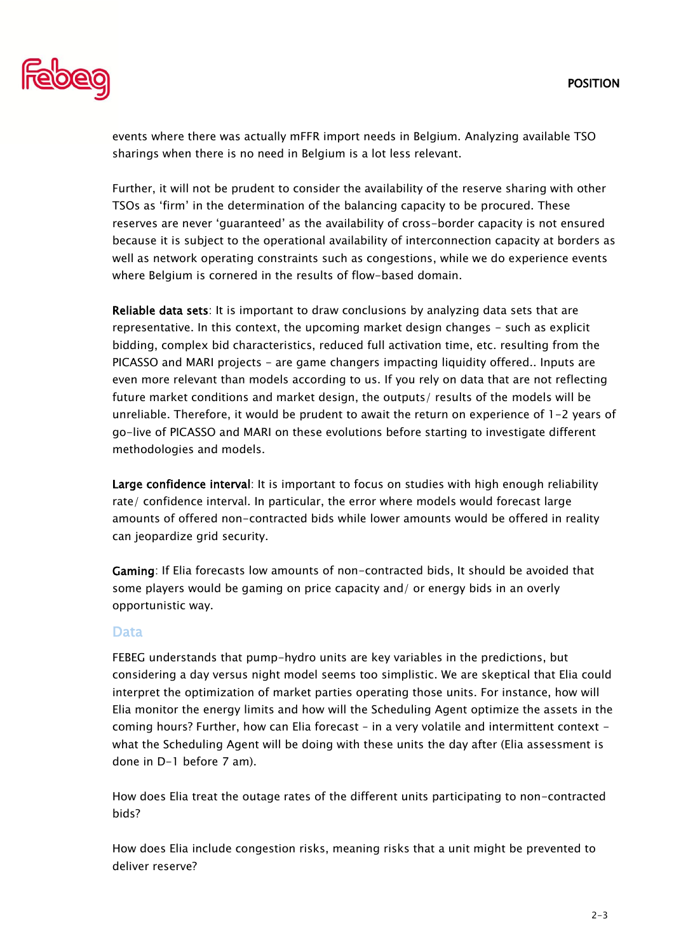

events where there was actually mFFR import needs in Belgium. Analyzing available TSO sharings when there is no need in Belgium is a lot less relevant.

Further, it will not be prudent to consider the availability of the reserve sharing with other TSOs as 'firm' in the determination of the balancing capacity to be procured. These reserves are never 'guaranteed' as the availability of cross-border capacity is not ensured because it is subject to the operational availability of interconnection capacity at borders as well as network operating constraints such as congestions, while we do experience events where Belgium is cornered in the results of flow-based domain.

Reliable data sets: It is important to draw conclusions by analyzing data sets that are representative. In this context, the upcoming market design changes - such as explicit bidding, complex bid characteristics, reduced full activation time, etc. resulting from the PICASSO and MARI projects - are game changers impacting liquidity offered.. Inputs are even more relevant than models according to us. If you rely on data that are not reflecting future market conditions and market design, the outputs/ results of the models will be unreliable. Therefore, it would be prudent to await the return on experience of 1-2 years of go-live of PICASSO and MARI on these evolutions before starting to investigate different methodologies and models.

Large confidence interval: It is important to focus on studies with high enough reliability rate/ confidence interval. In particular, the error where models would forecast large amounts of offered non-contracted bids while lower amounts would be offered in reality can jeopardize grid security.

Gaming: If Elia forecasts low amounts of non-contracted bids, It should be avoided that some players would be gaming on price capacity and/ or energy bids in an overly opportunistic way.

#### Data

FEBEG understands that pump-hydro units are key variables in the predictions, but considering a day versus night model seems too simplistic. We are skeptical that Elia could interpret the optimization of market parties operating those units. For instance, how will Elia monitor the energy limits and how will the Scheduling Agent optimize the assets in the coming hours? Further, how can Elia forecast – in a very volatile and intermittent context what the Scheduling Agent will be doing with these units the day after (Elia assessment is done in D-1 before 7 am).

How does Elia treat the outage rates of the different units participating to non-contracted bids?

How does Elia include congestion risks, meaning risks that a unit might be prevented to deliver reserve?